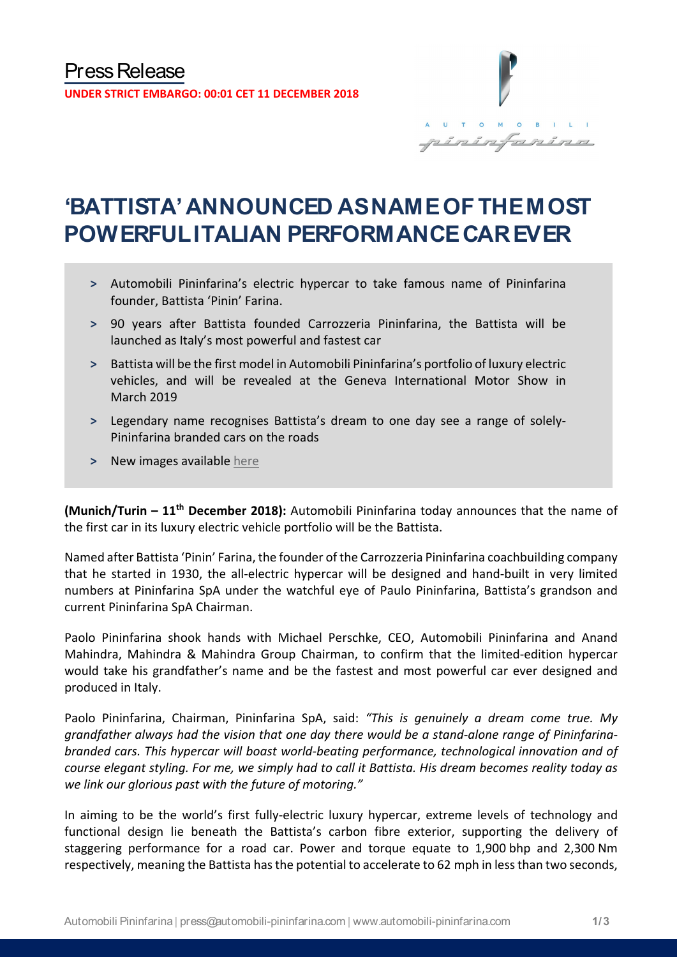

# **'BATTISTA' ANNOUNCED AS NAME OF THE MOST POWERFUL ITALIAN PERFORMANCE CAR EVER**

- **˃** Automobili Pininfarina's electric hypercar to take famous name of Pininfarina founder, Battista 'Pinin' Farina.
- **˃** 90 years after Battista founded Carrozzeria Pininfarina, the Battista will be launched as Italy's most powerful and fastest car
- **˃** Battista will be the first model in Automobili Pininfarina's portfolio of luxury electric vehicles, and will be revealed at the Geneva International Motor Show in March 2019
- **˃** Legendary name recognises Battista's dream to one day see a range of solely-Pininfarina branded cars on the roads
- **˃** New images available [here](https://bit.ly/2QMXKys)

**(Munich/Turin – 11th December 2018):** Automobili Pininfarina today announces that the name of the first car in its luxury electric vehicle portfolio will be the Battista.

Named after Battista 'Pinin' Farina, the founder of the Carrozzeria Pininfarina coachbuilding company that he started in 1930, the all-electric hypercar will be designed and hand-built in very limited numbers at Pininfarina SpA under the watchful eye of Paulo Pininfarina, Battista's grandson and current Pininfarina SpA Chairman.

Paolo Pininfarina shook hands with Michael Perschke, CEO, Automobili Pininfarina and Anand Mahindra, Mahindra & Mahindra Group Chairman, to confirm that the limited-edition hypercar would take his grandfather's name and be the fastest and most powerful car ever designed and produced in Italy.

Paolo Pininfarina, Chairman, Pininfarina SpA, said: *"This is genuinely a dream come true. My grandfather always had the vision that one day there would be a stand-alone range of Pininfarinabranded cars. This hypercar will boast world-beating performance, technological innovation and of course elegant styling. For me, we simply had to call it Battista. His dream becomes reality today as we link our glorious past with the future of motoring."*

In aiming to be the world's first fully-electric luxury hypercar, extreme levels of technology and functional design lie beneath the Battista's carbon fibre exterior, supporting the delivery of staggering performance for a road car. Power and torque equate to 1,900 bhp and 2,300 Nm respectively, meaning the Battista has the potential to accelerate to 62 mph in less than two seconds,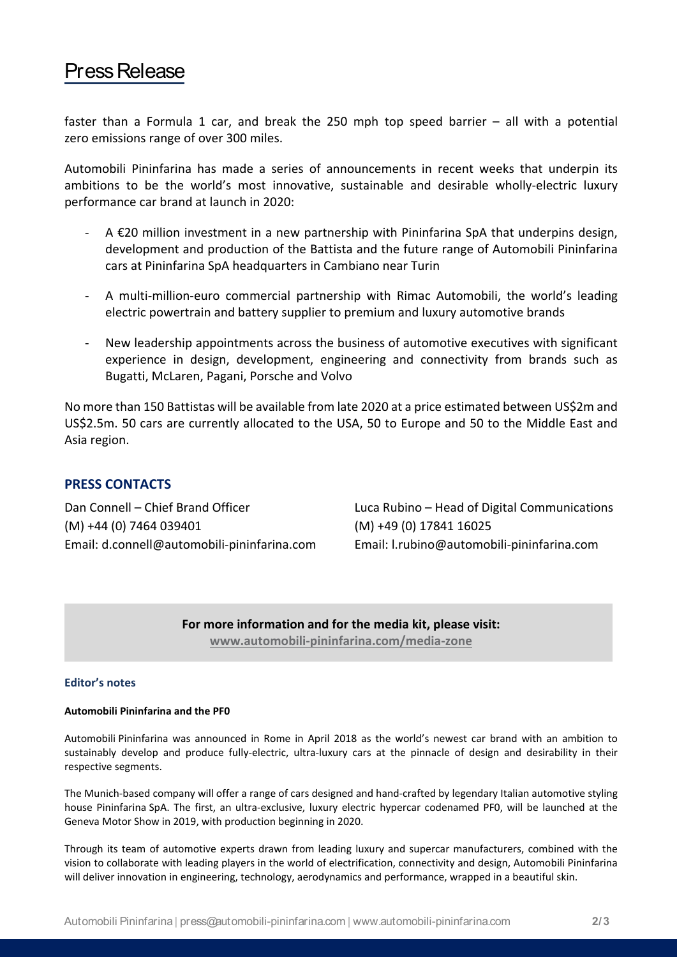### Press Release

faster than a Formula 1 car, and break the 250 mph top speed barrier  $-$  all with a potential zero emissions range of over 300 miles.

Automobili Pininfarina has made a series of announcements in recent weeks that underpin its ambitions to be the world's most innovative, sustainable and desirable wholly-electric luxury performance car brand at launch in 2020:

- $A \in 20$  million investment in a new partnership with Pininfarina SpA that underpins design, development and production of the Battista and the future range of Automobili Pininfarina cars at Pininfarina SpA headquarters in Cambiano near Turin
- A multi-million-euro commercial partnership with Rimac Automobili, the world's leading electric powertrain and battery supplier to premium and luxury automotive brands
- New leadership appointments across the business of automotive executives with significant experience in design, development, engineering and connectivity from brands such as Bugatti, McLaren, Pagani, Porsche and Volvo

No more than 150 Battistas will be available from late 2020 at a price estimated between US\$2m and US\$2.5m. 50 cars are currently allocated to the USA, 50 to Europe and 50 to the Middle East and Asia region.

### **PRESS CONTACTS**

(M) +44 (0) 7464 039401 (M) +49 (0) 17841 16025 Email: d.connell@automobili-pininfarina.com Email: [l.rubino@automobili-pininfarina.com](mailto:l.rubino@automobili-pininfarina.com)

Dan Connell – Chief Brand Officer Luca Rubino – Head of Digital Communications

**For more information and for the media kit, please visit: [www.automobili-pininfarina.com/media-zone](http://www.automobili-pininfarina.com/media-zone)**

#### **Editor's notes**

#### **Automobili Pininfarina and the PF0**

Automobili Pininfarina was announced in Rome in April 2018 as the world's newest car brand with an ambition to sustainably develop and produce fully-electric, ultra-luxury cars at the pinnacle of design and desirability in their respective segments.

The Munich-based company will offer a range of cars designed and hand-crafted by legendary Italian automotive styling house Pininfarina SpA. The first, an ultra-exclusive, luxury electric hypercar codenamed PF0, will be launched at the Geneva Motor Show in 2019, with production beginning in 2020.

Through its team of automotive experts drawn from leading luxury and supercar manufacturers, combined with the vision to collaborate with leading players in the world of electrification, connectivity and design, Automobili Pininfarina will deliver innovation in engineering, technology, aerodynamics and performance, wrapped in a beautiful skin.